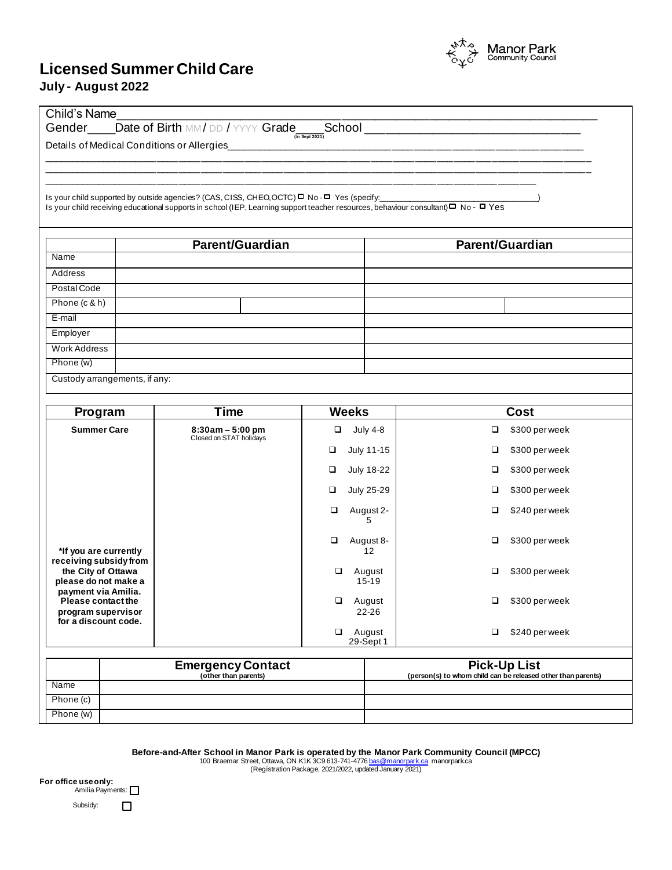## **Licensed Summer Child Care July - August 2022**



| Is your child supported by outside agencies? (CAS, CISS, CHEO, OCTC) $\Box$ No - $\Box$ Yes (specify:<br>Is your child receiving educational supports in school (IEP, Learning support teacher resources, behaviour consultant) D No DYes<br><b>Parent/Guardian</b><br><b>Parent/Guardian</b><br>Name<br>Address<br>Postal Code<br>Phone (c & h)<br>E-mail<br>Employer<br><b>Work Address</b><br>Phone (w)<br>Custody arrangements, if any:<br><b>Time</b><br><b>Weeks</b><br><b>Cost</b><br>Program<br><b>Summer Care</b><br><b>July 4-8</b><br>\$300 per week<br>$8:30am - 5:00 pm$<br>$\Box$<br>□<br>Closed on STAT holidays<br>July 11-15<br>\$300 per week<br>❏<br>❏<br>\$300 per week<br>□<br>July 18-22<br>□<br>July 25-29<br>\$300 per week<br>❏<br>□<br>August 2-<br>\$240 per week<br>$\Box$<br>□<br>5<br>\$300 per week<br>$\Box$<br>August 8-<br>□<br>*If you are currently<br>12<br>receiving subsidy from<br>the City of Ottawa<br>□<br>August<br>\$300 per week<br>□<br>please do not make a<br>$15 - 19$<br>payment via Amilia.<br>Please contact the<br>$\Box$<br>August<br>$\Box$<br>\$300 per week<br>22-26<br>program supervisor<br>for a discount code.<br>$\Box$<br>August<br>$\Box$<br>\$240 per week<br>29-Sept 1<br><b>Emergency Contact</b><br><b>Pick-Up List</b><br>(other than parents)<br>(person(s) to whom child can be released other than parents) |      | Details of Medical Conditions or Allergies | <u> 1990 - Jan James James, martin amerikan basar personal dan personal dan personal dan personal dan personal da</u> |  |
|--------------------------------------------------------------------------------------------------------------------------------------------------------------------------------------------------------------------------------------------------------------------------------------------------------------------------------------------------------------------------------------------------------------------------------------------------------------------------------------------------------------------------------------------------------------------------------------------------------------------------------------------------------------------------------------------------------------------------------------------------------------------------------------------------------------------------------------------------------------------------------------------------------------------------------------------------------------------------------------------------------------------------------------------------------------------------------------------------------------------------------------------------------------------------------------------------------------------------------------------------------------------------------------------------------------------------------------------------------------------------------------|------|--------------------------------------------|-----------------------------------------------------------------------------------------------------------------------|--|
|                                                                                                                                                                                                                                                                                                                                                                                                                                                                                                                                                                                                                                                                                                                                                                                                                                                                                                                                                                                                                                                                                                                                                                                                                                                                                                                                                                                      |      |                                            |                                                                                                                       |  |
|                                                                                                                                                                                                                                                                                                                                                                                                                                                                                                                                                                                                                                                                                                                                                                                                                                                                                                                                                                                                                                                                                                                                                                                                                                                                                                                                                                                      |      |                                            |                                                                                                                       |  |
|                                                                                                                                                                                                                                                                                                                                                                                                                                                                                                                                                                                                                                                                                                                                                                                                                                                                                                                                                                                                                                                                                                                                                                                                                                                                                                                                                                                      |      |                                            |                                                                                                                       |  |
|                                                                                                                                                                                                                                                                                                                                                                                                                                                                                                                                                                                                                                                                                                                                                                                                                                                                                                                                                                                                                                                                                                                                                                                                                                                                                                                                                                                      |      |                                            |                                                                                                                       |  |
|                                                                                                                                                                                                                                                                                                                                                                                                                                                                                                                                                                                                                                                                                                                                                                                                                                                                                                                                                                                                                                                                                                                                                                                                                                                                                                                                                                                      |      |                                            |                                                                                                                       |  |
|                                                                                                                                                                                                                                                                                                                                                                                                                                                                                                                                                                                                                                                                                                                                                                                                                                                                                                                                                                                                                                                                                                                                                                                                                                                                                                                                                                                      |      |                                            |                                                                                                                       |  |
|                                                                                                                                                                                                                                                                                                                                                                                                                                                                                                                                                                                                                                                                                                                                                                                                                                                                                                                                                                                                                                                                                                                                                                                                                                                                                                                                                                                      |      |                                            |                                                                                                                       |  |
|                                                                                                                                                                                                                                                                                                                                                                                                                                                                                                                                                                                                                                                                                                                                                                                                                                                                                                                                                                                                                                                                                                                                                                                                                                                                                                                                                                                      |      |                                            |                                                                                                                       |  |
|                                                                                                                                                                                                                                                                                                                                                                                                                                                                                                                                                                                                                                                                                                                                                                                                                                                                                                                                                                                                                                                                                                                                                                                                                                                                                                                                                                                      |      |                                            |                                                                                                                       |  |
|                                                                                                                                                                                                                                                                                                                                                                                                                                                                                                                                                                                                                                                                                                                                                                                                                                                                                                                                                                                                                                                                                                                                                                                                                                                                                                                                                                                      |      |                                            |                                                                                                                       |  |
|                                                                                                                                                                                                                                                                                                                                                                                                                                                                                                                                                                                                                                                                                                                                                                                                                                                                                                                                                                                                                                                                                                                                                                                                                                                                                                                                                                                      |      |                                            |                                                                                                                       |  |
|                                                                                                                                                                                                                                                                                                                                                                                                                                                                                                                                                                                                                                                                                                                                                                                                                                                                                                                                                                                                                                                                                                                                                                                                                                                                                                                                                                                      |      |                                            |                                                                                                                       |  |
|                                                                                                                                                                                                                                                                                                                                                                                                                                                                                                                                                                                                                                                                                                                                                                                                                                                                                                                                                                                                                                                                                                                                                                                                                                                                                                                                                                                      |      |                                            |                                                                                                                       |  |
|                                                                                                                                                                                                                                                                                                                                                                                                                                                                                                                                                                                                                                                                                                                                                                                                                                                                                                                                                                                                                                                                                                                                                                                                                                                                                                                                                                                      |      |                                            |                                                                                                                       |  |
|                                                                                                                                                                                                                                                                                                                                                                                                                                                                                                                                                                                                                                                                                                                                                                                                                                                                                                                                                                                                                                                                                                                                                                                                                                                                                                                                                                                      |      |                                            |                                                                                                                       |  |
|                                                                                                                                                                                                                                                                                                                                                                                                                                                                                                                                                                                                                                                                                                                                                                                                                                                                                                                                                                                                                                                                                                                                                                                                                                                                                                                                                                                      |      |                                            |                                                                                                                       |  |
|                                                                                                                                                                                                                                                                                                                                                                                                                                                                                                                                                                                                                                                                                                                                                                                                                                                                                                                                                                                                                                                                                                                                                                                                                                                                                                                                                                                      |      |                                            |                                                                                                                       |  |
|                                                                                                                                                                                                                                                                                                                                                                                                                                                                                                                                                                                                                                                                                                                                                                                                                                                                                                                                                                                                                                                                                                                                                                                                                                                                                                                                                                                      |      |                                            |                                                                                                                       |  |
|                                                                                                                                                                                                                                                                                                                                                                                                                                                                                                                                                                                                                                                                                                                                                                                                                                                                                                                                                                                                                                                                                                                                                                                                                                                                                                                                                                                      |      |                                            |                                                                                                                       |  |
|                                                                                                                                                                                                                                                                                                                                                                                                                                                                                                                                                                                                                                                                                                                                                                                                                                                                                                                                                                                                                                                                                                                                                                                                                                                                                                                                                                                      |      |                                            |                                                                                                                       |  |
|                                                                                                                                                                                                                                                                                                                                                                                                                                                                                                                                                                                                                                                                                                                                                                                                                                                                                                                                                                                                                                                                                                                                                                                                                                                                                                                                                                                      |      |                                            |                                                                                                                       |  |
|                                                                                                                                                                                                                                                                                                                                                                                                                                                                                                                                                                                                                                                                                                                                                                                                                                                                                                                                                                                                                                                                                                                                                                                                                                                                                                                                                                                      |      |                                            |                                                                                                                       |  |
|                                                                                                                                                                                                                                                                                                                                                                                                                                                                                                                                                                                                                                                                                                                                                                                                                                                                                                                                                                                                                                                                                                                                                                                                                                                                                                                                                                                      |      |                                            |                                                                                                                       |  |
|                                                                                                                                                                                                                                                                                                                                                                                                                                                                                                                                                                                                                                                                                                                                                                                                                                                                                                                                                                                                                                                                                                                                                                                                                                                                                                                                                                                      |      |                                            |                                                                                                                       |  |
|                                                                                                                                                                                                                                                                                                                                                                                                                                                                                                                                                                                                                                                                                                                                                                                                                                                                                                                                                                                                                                                                                                                                                                                                                                                                                                                                                                                      | Name |                                            |                                                                                                                       |  |
| Phone (c)                                                                                                                                                                                                                                                                                                                                                                                                                                                                                                                                                                                                                                                                                                                                                                                                                                                                                                                                                                                                                                                                                                                                                                                                                                                                                                                                                                            |      |                                            |                                                                                                                       |  |

Before-and-After School in Manor Park is operated by the Manor Park Community Council (MPCC)<br>100 Braemar Street, Ottawa, ON K1K 3C9 613-741-4776 <u>bas@manorpark.ca</u> manorpark.ca<br>Registration Package, 2021/2022, updated Janu

**For office useonly:** Amilia Payments: Subsidy:  $\Box$